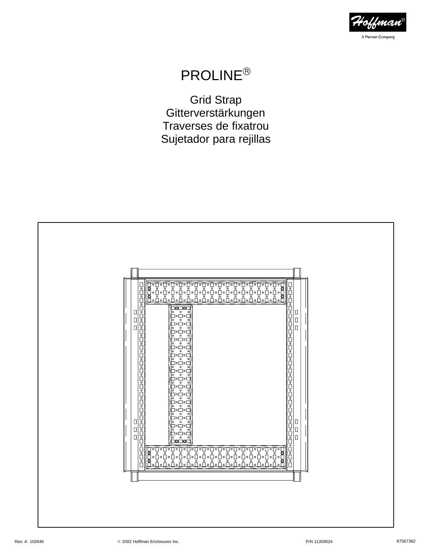

# PROLINE

Grid Strap Gitterverstärkungen Traverses de fixatrou Sujetador para rejillas

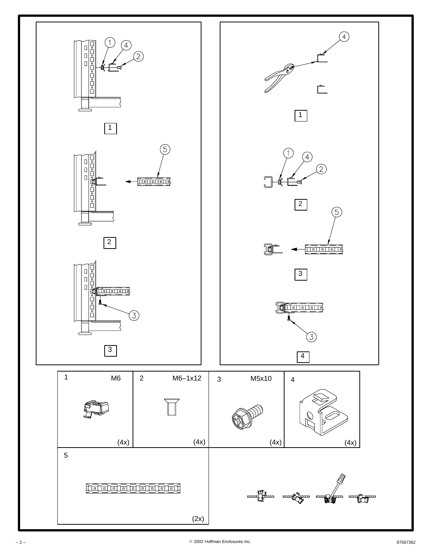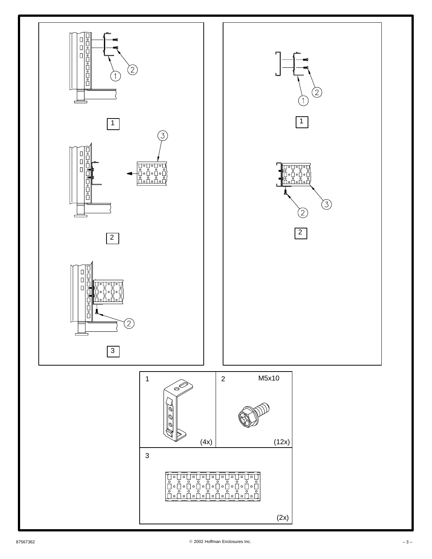